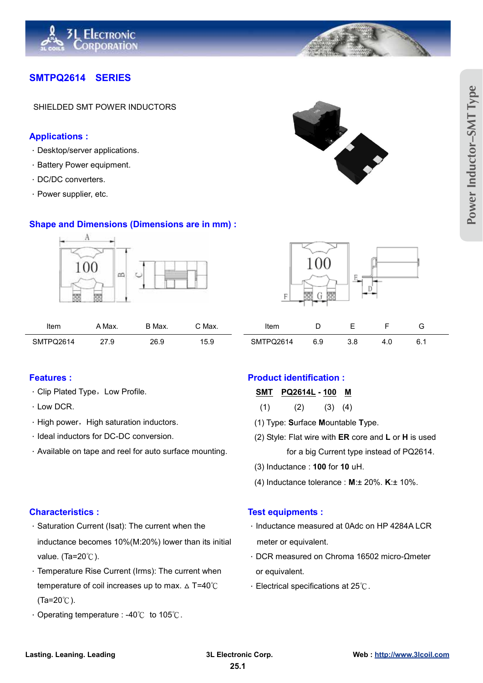

## **SMTPQ2614 SERIES**

SHIELDED SMT POWER INDUCTORS

### **Applications :**

- 炽Desktop/server applications.
- 炽Battery Power equipment.
- 炽DC/DC converters.
- 炽Power supplier, etc.

### **Shape and Dimensions (Dimensions are in mm) :**



| Item      | Max.                 | ר Max.      | ` Max.                | Item                      |     |     |      | ∽<br>ັ |
|-----------|----------------------|-------------|-----------------------|---------------------------|-----|-----|------|--------|
| SMTPQ2614 | 77<br>ن. ا ڪ<br>____ | 26.9<br>___ | -<br>1 F<br>∼<br>ິບ.ວ | $^{\circ}$ 'TPQ2614<br>SΜ | ບ.ອ | J.U | т. о | ∪. ı   |

- Clip Plated Type, Low Profile. **SMT PQ2614L** 100 M
- 
- High power, High saturation inductors. (1) Type: Surface Mountable Type.
- 
- Available on tape and reel for auto surface mounting. For a big Current type instead of PQ2614.

- · Saturation Current (Isat): The current when the ↓ Inductance measured at 0Adc on HP 4284A LCR inductance becomes 10%(M:20%) lower than its initial meter or equivalent. value. (Ta=20 $°C$ ).  $\blacksquare$
- · Temperature Rise Current (Irms): The current when or equivalent. temperature of coil increases up to max.  $\triangle$  T=40 $^{\circ}$ C  $(Ta=20^{\circ}C)$ .
- Operating temperature : -40 $°C$  to 105 $°C$ .



- 
- $\cdot$  Low DCR. (1) (2) (3) (4)
	-
- 炽Ideal inductors for DC-DC conversion. (2) Style: Flat wire with **ER** core and **L** or **H** is used
	- (3) Inductance : **100** for **10** uH.
	- (4) Inductance tolerance : **M**:± 20%. **K**:± 10%.

### **Characteristics : Test equipments :**

- 
- 
- $\cdot$  Electrical specifications at 25 $\degree$ C.





| Item      |     |     |  |
|-----------|-----|-----|--|
| SMTPQ2614 | 6.9 | 3.8 |  |